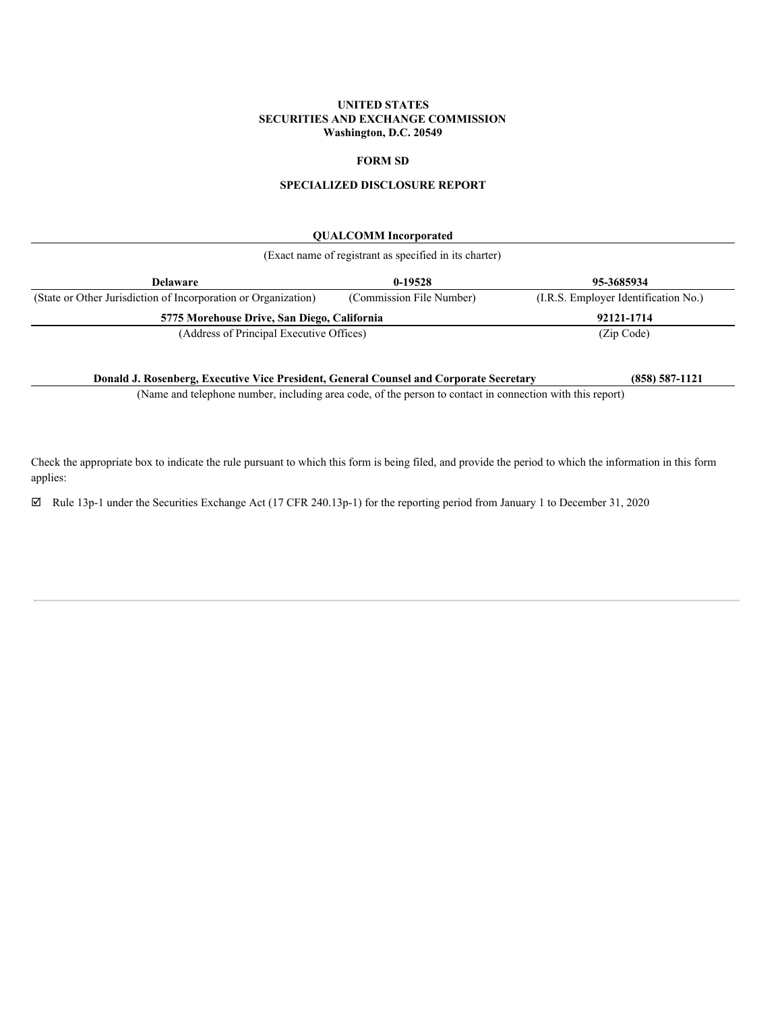# **UNITED STATES SECURITIES AND EXCHANGE COMMISSION Washington, D.C. 20549**

# **FORM SD**

# **SPECIALIZED DISCLOSURE REPORT**

# **QUALCOMM Incorporated**

| (Exact name of registrant as specified in its charter)         |                          |                                      |  |
|----------------------------------------------------------------|--------------------------|--------------------------------------|--|
| <b>Delaware</b>                                                | $0-19528$                | 95-3685934                           |  |
| (State or Other Jurisdiction of Incorporation or Organization) | (Commission File Number) | (I.R.S. Employer Identification No.) |  |
| 5775 Morehouse Drive, San Diego, California                    |                          | 92121-1714                           |  |
| (Address of Principal Executive Offices)                       |                          | (Zip Code)                           |  |

**Donald J. Rosenberg, Executive Vice President, General Counsel and Corporate Secretary (858) 587-1121**

(Name and telephone number, including area code, of the person to contact in connection with this report)

Check the appropriate box to indicate the rule pursuant to which this form is being filed, and provide the period to which the information in this form applies:

þ Rule 13p-1 under the Securities Exchange Act (17 CFR 240.13p-1) for the reporting period from January 1 to December 31, 2020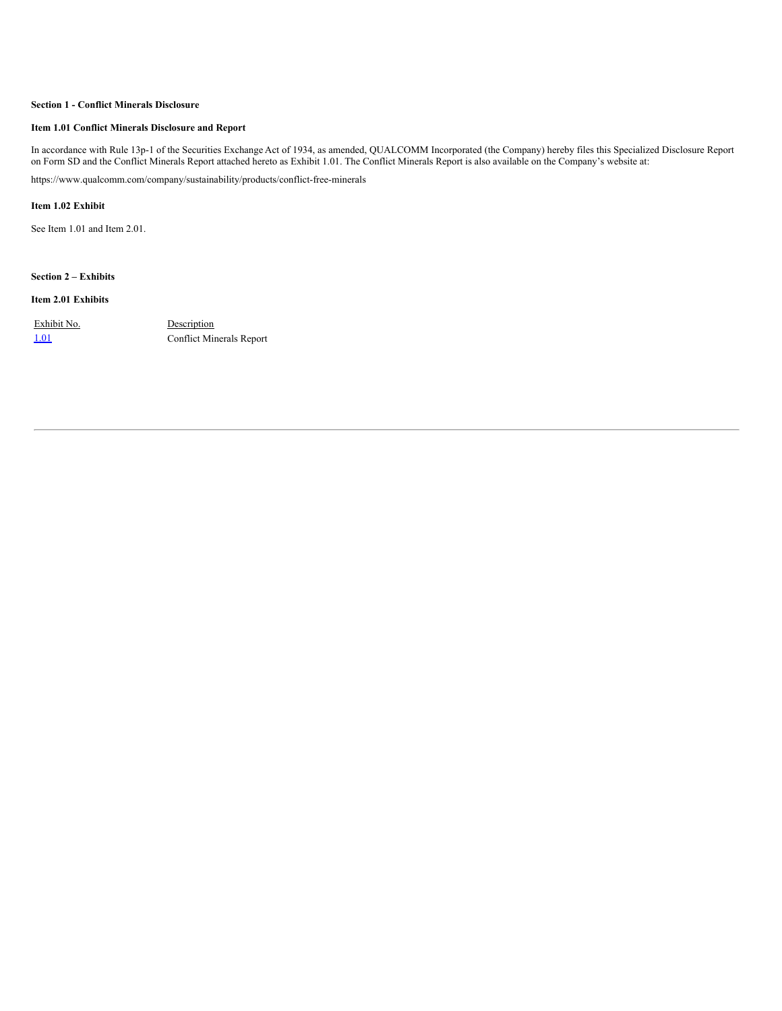# **Section 1 - Conflict Minerals Disclosure**

# **Item 1.01 Conflict Minerals Disclosure and Report**

In accordance with Rule 13p-1 of the Securities Exchange Act of 1934, as amended, QUALCOMM Incorporated (the Company) hereby files this Specialized Disclosure Report on Form SD and the Conflict Minerals Report attached hereto as Exhibit 1.01. The Conflict Minerals Report is also available on the Company's website at:

https://www.qualcomm.com/company/sustainability/products/conflict-free-minerals

# **Item 1.02 Exhibit**

See Item 1.01 and Item 2.01.

# **Section 2 – Exhibits**

# **Item 2.01 Exhibits**

Exhibit No. Description [1.01](#page-9-0) Conflict Minerals Report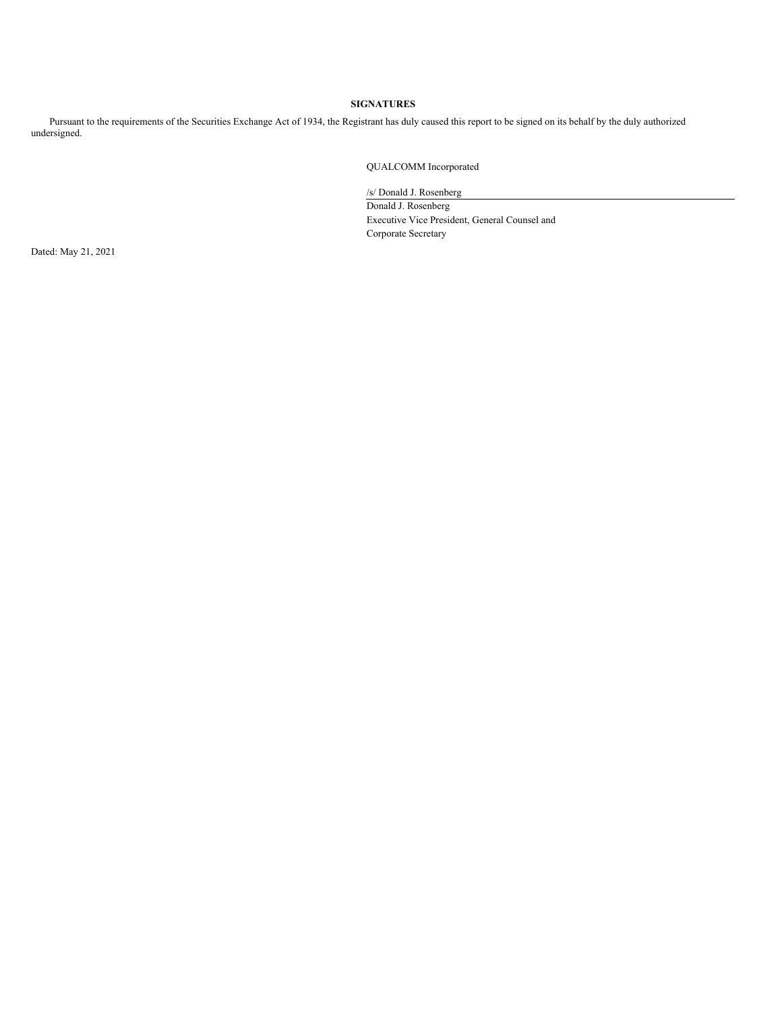# **SIGNATURES**

Pursuant to the requirements of the Securities Exchange Act of 1934, the Registrant has duly caused this report to be signed on its behalf by the duly authorized undersigned.

QUALCOMM Incorporated

/s/ Donald J. Rosenberg Donald J. Rosenberg Executive Vice President, General Counsel and Corporate Secretary

Dated: May 21, 2021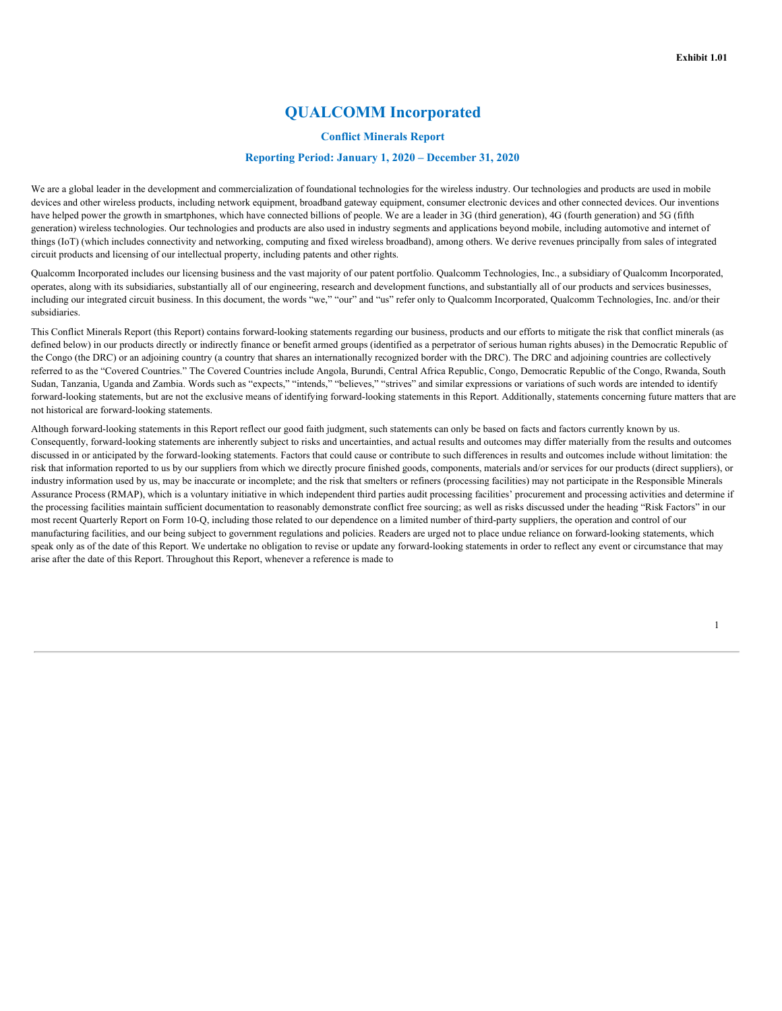# **QUALCOMM Incorporated**

**Conflict Minerals Report**

## **Reporting Period: January 1, 2020 – December 31, 2020**

We are a global leader in the development and commercialization of foundational technologies for the wireless industry. Our technologies and products are used in mobile devices and other wireless products, including network equipment, broadband gateway equipment, consumer electronic devices and other connected devices. Our inventions have helped power the growth in smartphones, which have connected billions of people. We are a leader in 3G (third generation), 4G (fourth generation) and 5G (fifth generation) wireless technologies. Our technologies and products are also used in industry segments and applications beyond mobile, including automotive and internet of things (IoT) (which includes connectivity and networking, computing and fixed wireless broadband), among others. We derive revenues principally from sales of integrated circuit products and licensing of our intellectual property, including patents and other rights.

Qualcomm Incorporated includes our licensing business and the vast majority of our patent portfolio. Qualcomm Technologies, Inc., a subsidiary of Qualcomm Incorporated, operates, along with its subsidiaries, substantially all of our engineering, research and development functions, and substantially all of our products and services businesses, including our integrated circuit business. In this document, the words "we," "our" and "us" refer only to Qualcomm Incorporated, Qualcomm Technologies, Inc. and/or their subsidiaries.

This Conflict Minerals Report (this Report) contains forward-looking statements regarding our business, products and our efforts to mitigate the risk that conflict minerals (as defined below) in our products directly or indirectly finance or benefit armed groups (identified as a perpetrator of serious human rights abuses) in the Democratic Republic of the Congo (the DRC) or an adjoining country (a country that shares an internationally recognized border with the DRC). The DRC and adjoining countries are collectively referred to as the "Covered Countries." The Covered Countries include Angola, Burundi, Central Africa Republic, Congo, Democratic Republic of the Congo, Rwanda, South Sudan, Tanzania, Uganda and Zambia. Words such as "expects," "intends," "believes," "strives" and similar expressions or variations of such words are intended to identify forward-looking statements, but are not the exclusive means of identifying forward-looking statements in this Report. Additionally, statements concerning future matters that are not historical are forward-looking statements.

Although forward-looking statements in this Report reflect our good faith judgment, such statements can only be based on facts and factors currently known by us. Consequently, forward-looking statements are inherently subject to risks and uncertainties, and actual results and outcomes may differ materially from the results and outcomes discussed in or anticipated by the forward-looking statements. Factors that could cause or contribute to such differences in results and outcomes include without limitation: the risk that information reported to us by our suppliers from which we directly procure finished goods, components, materials and/or services for our products (direct suppliers), or industry information used by us, may be inaccurate or incomplete; and the risk that smelters or refiners (processing facilities) may not participate in the Responsible Minerals Assurance Process (RMAP), which is a voluntary initiative in which independent third parties audit processing facilities' procurement and processing activities and determine if the processing facilities maintain sufficient documentation to reasonably demonstrate conflict free sourcing; as well as risks discussed under the heading "Risk Factors" in our most recent Quarterly Report on Form 10-Q, including those related to our dependence on a limited number of third-party suppliers, the operation and control of our manufacturing facilities, and our being subject to government regulations and policies. Readers are urged not to place undue reliance on forward-looking statements, which speak only as of the date of this Report. We undertake no obligation to revise or update any forward-looking statements in order to reflect any event or circumstance that may arise after the date of this Report. Throughout this Report, whenever a reference is made to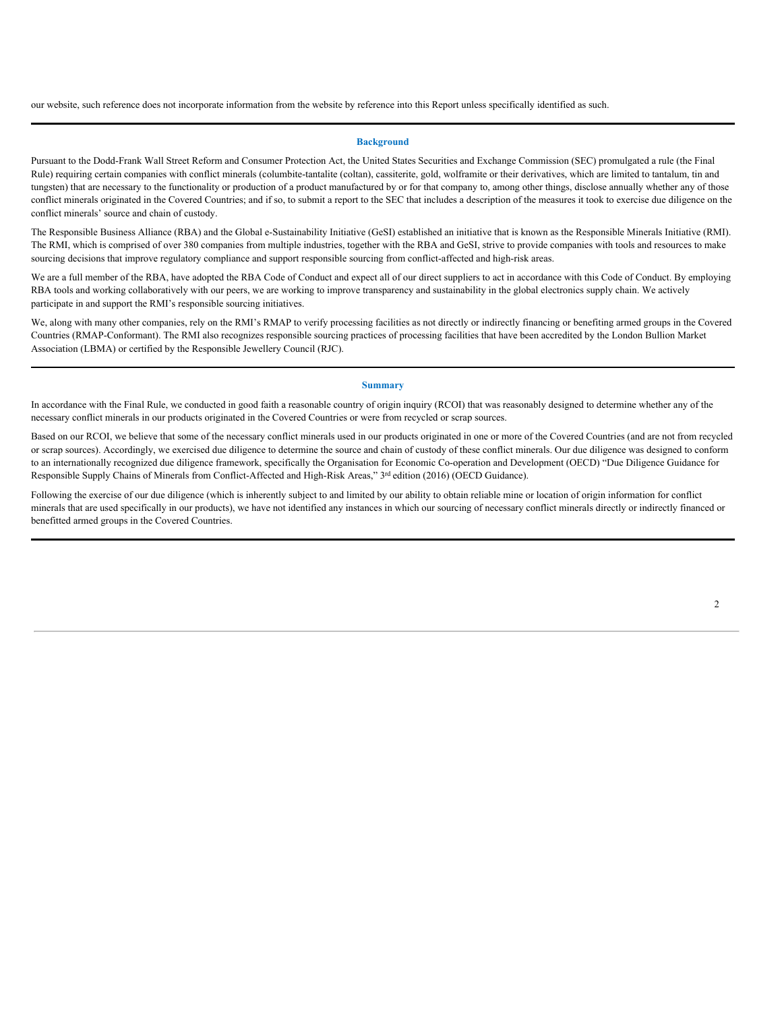our website, such reference does not incorporate information from the website by reference into this Report unless specifically identified as such.

# **Background**

Pursuant to the Dodd-Frank Wall Street Reform and Consumer Protection Act, the United States Securities and Exchange Commission (SEC) promulgated a rule (the Final Rule) requiring certain companies with conflict minerals (columbite-tantalite (coltan), cassiterite, gold, wolframite or their derivatives, which are limited to tantalum, tin and tungsten) that are necessary to the functionality or production of a product manufactured by or for that company to, among other things, disclose annually whether any of those conflict minerals originated in the Covered Countries; and if so, to submit a report to the SEC that includes a description of the measures it took to exercise due diligence on the conflict minerals' source and chain of custody.

The Responsible Business Alliance (RBA) and the Global e-Sustainability Initiative (GeSI) established an initiative that is known as the Responsible Minerals Initiative (RMI). The RMI, which is comprised of over 380 companies from multiple industries, together with the RBA and GeSI, strive to provide companies with tools and resources to make sourcing decisions that improve regulatory compliance and support responsible sourcing from conflict-affected and high-risk areas.

We are a full member of the RBA, have adopted the RBA Code of Conduct and expect all of our direct suppliers to act in accordance with this Code of Conduct. By employing RBA tools and working collaboratively with our peers, we are working to improve transparency and sustainability in the global electronics supply chain. We actively participate in and support the RMI's responsible sourcing initiatives.

We, along with many other companies, rely on the RMI's RMAP to verify processing facilities as not directly or indirectly financing or benefiting armed groups in the Covered Countries (RMAP-Conformant). The RMI also recognizes responsible sourcing practices of processing facilities that have been accredited by the London Bullion Market Association (LBMA) or certified by the Responsible Jewellery Council (RJC).

## **Summary**

In accordance with the Final Rule, we conducted in good faith a reasonable country of origin inquiry (RCOI) that was reasonably designed to determine whether any of the necessary conflict minerals in our products originated in the Covered Countries or were from recycled or scrap sources.

Based on our RCOI, we believe that some of the necessary conflict minerals used in our products originated in one or more of the Covered Countries (and are not from recycled or scrap sources). Accordingly, we exercised due diligence to determine the source and chain of custody of these conflict minerals. Our due diligence was designed to conform to an internationally recognized due diligence framework, specifically the Organisation for Economic Co-operation and Development (OECD) "Due Diligence Guidance for Responsible Supply Chains of Minerals from Conflict-Affected and High-Risk Areas," 3<sup>rd</sup> edition (2016) (OECD Guidance).

Following the exercise of our due diligence (which is inherently subject to and limited by our ability to obtain reliable mine or location of origin information for conflict minerals that are used specifically in our products), we have not identified any instances in which our sourcing of necessary conflict minerals directly or indirectly financed or benefitted armed groups in the Covered Countries.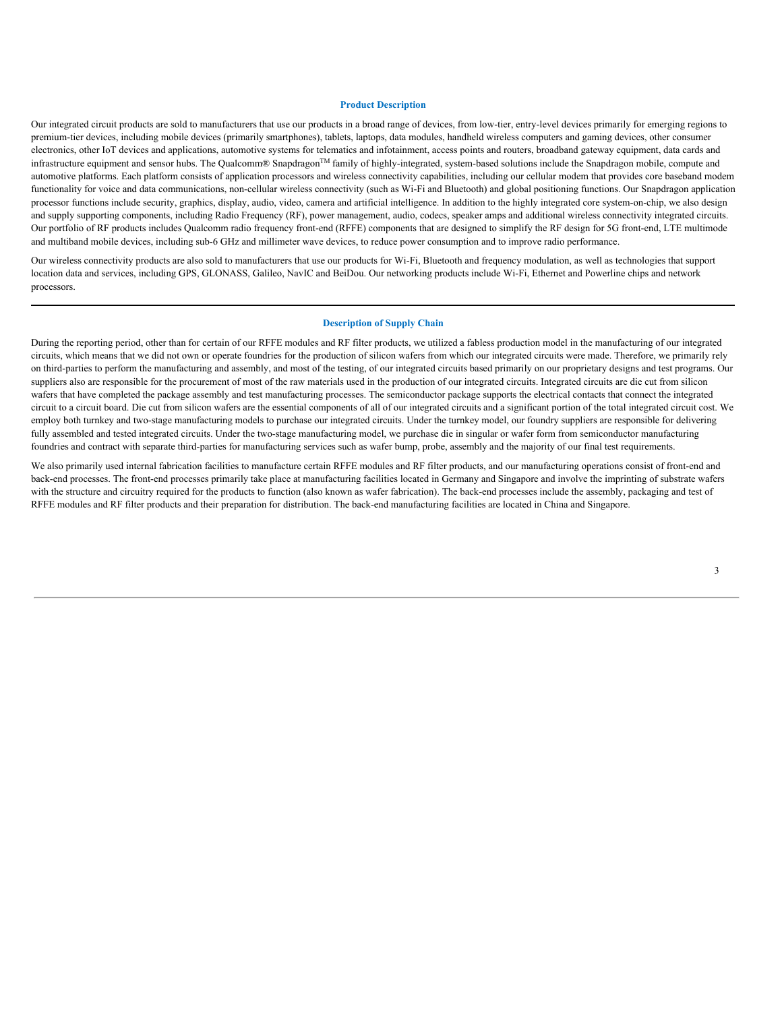#### **Product Description**

Our integrated circuit products are sold to manufacturers that use our products in a broad range of devices, from low-tier, entry-level devices primarily for emerging regions to premium-tier devices, including mobile devices (primarily smartphones), tablets, laptops, data modules, handheld wireless computers and gaming devices, other consumer electronics, other IoT devices and applications, automotive systems for telematics and infotainment, access points and routers, broadband gateway equipment, data cards and infrastructure equipment and sensor hubs. The Qualcomm® Snapdragon™ family of highly-integrated, system-based solutions include the Snapdragon mobile, compute and automotive platforms. Each platform consists of application processors and wireless connectivity capabilities, including our cellular modem that provides core baseband modem functionality for voice and data communications, non-cellular wireless connectivity (such as Wi-Fi and Bluetooth) and global positioning functions. Our Snapdragon application processor functions include security, graphics, display, audio, video, camera and artificial intelligence. In addition to the highly integrated core system-on-chip, we also design and supply supporting components, including Radio Frequency (RF), power management, audio, codecs, speaker amps and additional wireless connectivity integrated circuits. Our portfolio of RF products includes Qualcomm radio frequency front-end (RFFE) components that are designed to simplify the RF design for 5G front-end, LTE multimode and multiband mobile devices, including sub-6 GHz and millimeter wave devices, to reduce power consumption and to improve radio performance.

Our wireless connectivity products are also sold to manufacturers that use our products for Wi-Fi, Bluetooth and frequency modulation, as well as technologies that support location data and services, including GPS, GLONASS, Galileo, NavIC and BeiDou. Our networking products include Wi-Fi, Ethernet and Powerline chips and network processors.

## **Description of Supply Chain**

During the reporting period, other than for certain of our RFFE modules and RF filter products, we utilized a fabless production model in the manufacturing of our integrated circuits, which means that we did not own or operate foundries for the production of silicon wafers from which our integrated circuits were made. Therefore, we primarily rely on third-parties to perform the manufacturing and assembly, and most of the testing, of our integrated circuits based primarily on our proprietary designs and test programs. Our suppliers also are responsible for the procurement of most of the raw materials used in the production of our integrated circuits. Integrated circuits are die cut from silicon wafers that have completed the package assembly and test manufacturing processes. The semiconductor package supports the electrical contacts that connect the integrated circuit to a circuit board. Die cut from silicon wafers are the essential components of all of our integrated circuits and a significant portion of the total integrated circuit cost. We employ both turnkey and two-stage manufacturing models to purchase our integrated circuits. Under the turnkey model, our foundry suppliers are responsible for delivering fully assembled and tested integrated circuits. Under the two-stage manufacturing model, we purchase die in singular or wafer form from semiconductor manufacturing foundries and contract with separate third-parties for manufacturing services such as wafer bump, probe, assembly and the majority of our final test requirements.

We also primarily used internal fabrication facilities to manufacture certain RFFE modules and RF filter products, and our manufacturing operations consist of front-end and back-end processes. The front-end processes primarily take place at manufacturing facilities located in Germany and Singapore and involve the imprinting of substrate wafers with the structure and circuitry required for the products to function (also known as wafer fabrication). The back-end processes include the assembly, packaging and test of RFFE modules and RF filter products and their preparation for distribution. The back-end manufacturing facilities are located in China and Singapore.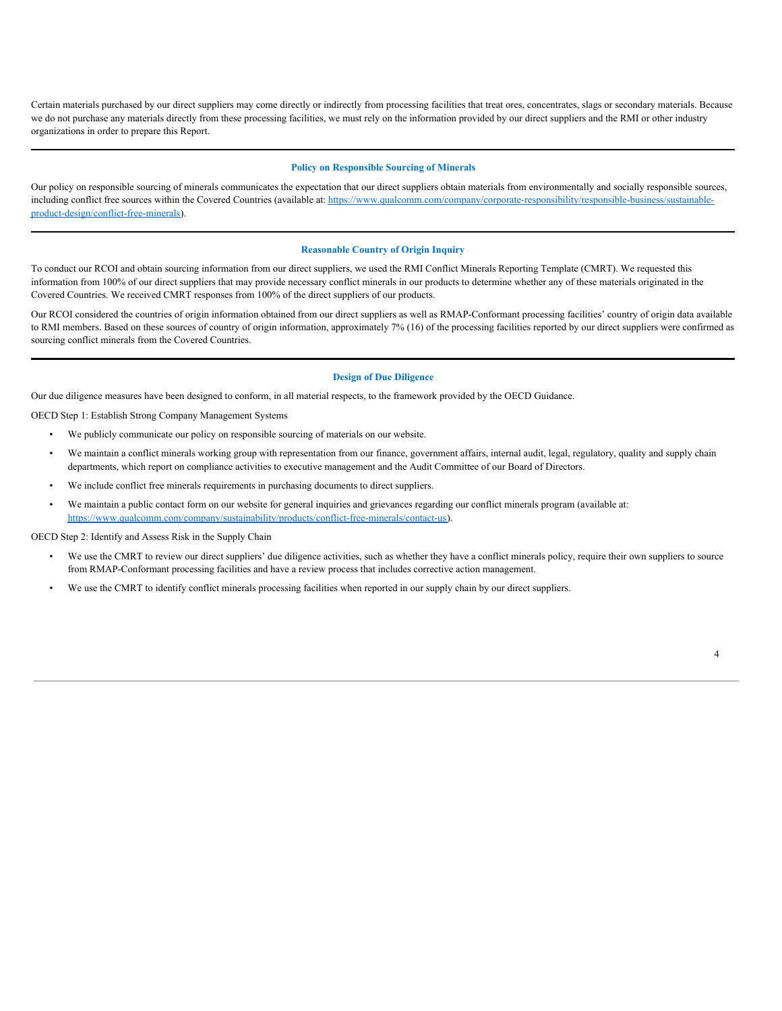Certain materials purchased by our direct suppliers may come directly or indirectly from processing facilities that treat ores, concentrates, slags or secondary materials. Because we do not purchase any materials directly from these processing facilities, we must rely on the information provided by our direct suppliers and the RMI or other industry organizations in order to prepare this Report.

## **Policy on Responsible Sourcing of Minerals**

Our policy on responsible sourcing of minerals communicates the expectation that our direct suppliers obtain materials from environmentally and socially responsible sources, including conflict free sources within the Covered Countries (available at: https://www.qualcomm.com/company/corporate-responsibility/responsible-business/sustainableproduct-design/conflict-free-minerals).

## **Reasonable Country of Origin Inquiry**

To conduct our RCOI and obtain sourcing information from our direct suppliers, we used the RMI Conflict Minerals Reporting Template (CMRT). We requested this information from 100% of our direct suppliers that may provide necessary conflict minerals in our products to determine whether any of these materials originated in the Covered Countries. We received CMRT responses from 100% of the direct suppliers of our products.

Our RCOI considered the countries of origin information obtained from our direct suppliers as well as RMAP-Conformant processing facilities' country of origin data available to RMI members. Based on these sources of country of origin information, approximately 7% (16) of the processing facilities reported by our direct suppliers were confirmed as sourcing conflict minerals from the Covered Countries.

# **Design of Due Diligence**

Our due diligence measures have been designed to conform, in all material respects, to the framework provided by the OECD Guidance.

OECD Step 1: Establish Strong Company Management Systems

- We publicly communicate our policy on responsible sourcing of materials on our website.
- We maintain a conflict minerals working group with representation from our finance, government affairs, internal audit, legal, regulatory, quality and supply chain departments, which report on compliance activities to executive management and the Audit Committee of our Board of Directors.
- We include conflict free minerals requirements in purchasing documents to direct suppliers.
- We maintain a public contact form on our website for general inquiries and grievances regarding our conflict minerals program (available at: https://www.qualcomm.com/company/sustainability/products/conflict-free-minerals/contact-us).

OECD Step 2: Identify and Assess Risk in the Supply Chain

- We use the CMRT to review our direct suppliers' due diligence activities, such as whether they have a conflict minerals policy, require their own suppliers to source from RMAP-Conformant processing facilities and have a review process that includes corrective action management.
- We use the CMRT to identify conflict minerals processing facilities when reported in our supply chain by our direct suppliers.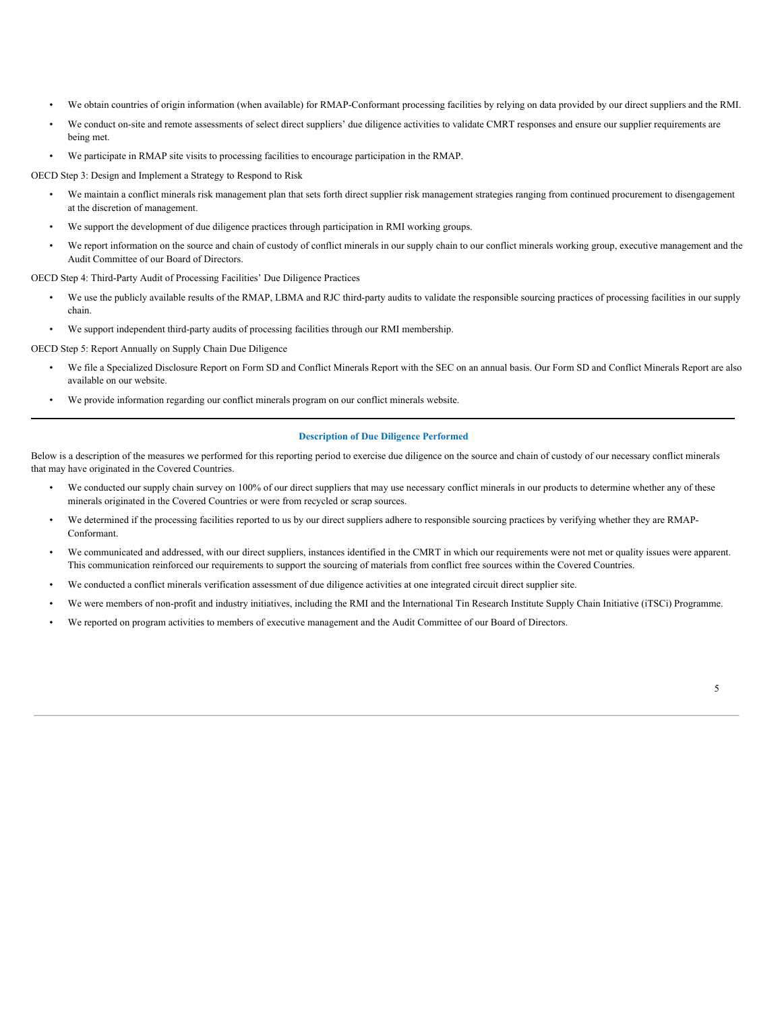- We obtain countries of origin information (when available) for RMAP-Conformant processing facilities by relying on data provided by our direct suppliers and the RMI.
- We conduct on-site and remote assessments of select direct suppliers' due diligence activities to validate CMRT responses and ensure our supplier requirements are being met.
- We participate in RMAP site visits to processing facilities to encourage participation in the RMAP.

OECD Step 3: Design and Implement a Strategy to Respond to Risk

- We maintain a conflict minerals risk management plan that sets forth direct supplier risk management strategies ranging from continued procurement to disengagement at the discretion of management.
- We support the development of due diligence practices through participation in RMI working groups.
- We report information on the source and chain of custody of conflict minerals in our supply chain to our conflict minerals working group, executive management and the Audit Committee of our Board of Directors.

OECD Step 4: Third-Party Audit of Processing Facilities' Due Diligence Practices

- We use the publicly available results of the RMAP, LBMA and RJC third-party audits to validate the responsible sourcing practices of processing facilities in our supply chain.
- We support independent third-party audits of processing facilities through our RMI membership.

OECD Step 5: Report Annually on Supply Chain Due Diligence

- We file a Specialized Disclosure Report on Form SD and Conflict Minerals Report with the SEC on an annual basis. Our Form SD and Conflict Minerals Report are also available on our website.
- We provide information regarding our conflict minerals program on our conflict minerals website.

#### **Description of Due Diligence Performed**

Below is a description of the measures we performed for this reporting period to exercise due diligence on the source and chain of custody of our necessary conflict minerals that may have originated in the Covered Countries.

- We conducted our supply chain survey on 100% of our direct suppliers that may use necessary conflict minerals in our products to determine whether any of these minerals originated in the Covered Countries or were from recycled or scrap sources.
- We determined if the processing facilities reported to us by our direct suppliers adhere to responsible sourcing practices by verifying whether they are RMAP-Conformant.
- We communicated and addressed, with our direct suppliers, instances identified in the CMRT in which our requirements were not met or quality issues were apparent. This communication reinforced our requirements to support the sourcing of materials from conflict free sources within the Covered Countries.
- We conducted a conflict minerals verification assessment of due diligence activities at one integrated circuit direct supplier site.
- We were members of non-profit and industry initiatives, including the RMI and the International Tin Research Institute Supply Chain Initiative (iTSCi) Programme.
- We reported on program activities to members of executive management and the Audit Committee of our Board of Directors.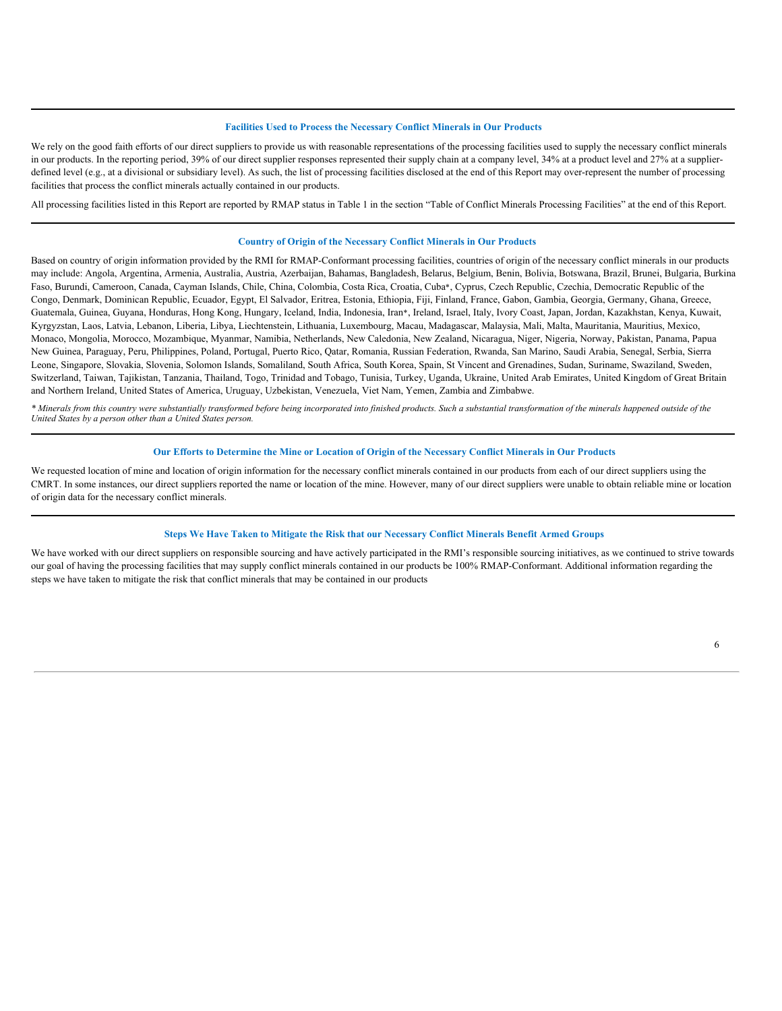#### **Facilities Used to Process the Necessary Conflict Minerals in Our Products**

We rely on the good faith efforts of our direct suppliers to provide us with reasonable representations of the processing facilities used to supply the necessary conflict minerals in our products. In the reporting period, 39% of our direct supplier responses represented their supply chain at a company level, 34% at a product level and 27% at a supplierdefined level (e.g., at a divisional or subsidiary level). As such, the list of processing facilities disclosed at the end of this Report may over-represent the number of processing facilities that process the conflict minerals actually contained in our products.

All processing facilities listed in this Report are reported by RMAP status in Table 1 in the section "Table of Conflict Minerals Processing Facilities" at the end of this Report.

#### **Country of Origin of the Necessary Conflict Minerals in Our Products**

Based on country of origin information provided by the RMI for RMAP-Conformant processing facilities, countries of origin of the necessary conflict minerals in our products may include: Angola, Argentina, Armenia, Australia, Austria, Azerbaijan, Bahamas, Bangladesh, Belarus, Belgium, Benin, Bolivia, Botswana, Brazil, Brunei, Bulgaria, Burkina Faso, Burundi, Cameroon, Canada, Cayman Islands, Chile, China, Colombia, Costa Rica, Croatia, Cuba\*, Cyprus, Czech Republic, Czechia, Democratic Republic of the Congo, Denmark, Dominican Republic, Ecuador, Egypt, El Salvador, Eritrea, Estonia, Ethiopia, Fiji, Finland, France, Gabon, Gambia, Georgia, Germany, Ghana, Greece, Guatemala, Guinea, Guyana, Honduras, Hong Kong, Hungary, Iceland, India, Indonesia, Iran\*, Ireland, Israel, Italy, Ivory Coast, Japan, Jordan, Kazakhstan, Kenya, Kuwait, Kyrgyzstan, Laos, Latvia, Lebanon, Liberia, Libya, Liechtenstein, Lithuania, Luxembourg, Macau, Madagascar, Malaysia, Mali, Malta, Mauritania, Mauritius, Mexico, Monaco, Mongolia, Morocco, Mozambique, Myanmar, Namibia, Netherlands, New Caledonia, New Zealand, Nicaragua, Niger, Nigeria, Norway, Pakistan, Panama, Papua New Guinea, Paraguay, Peru, Philippines, Poland, Portugal, Puerto Rico, Qatar, Romania, Russian Federation, Rwanda, San Marino, Saudi Arabia, Senegal, Serbia, Sierra Leone, Singapore, Slovakia, Slovenia, Solomon Islands, Somaliland, South Africa, South Korea, Spain, St Vincent and Grenadines, Sudan, Suriname, Swaziland, Sweden, Switzerland, Taiwan, Tajikistan, Tanzania, Thailand, Togo, Trinidad and Tobago, Tunisia, Turkey, Uganda, Ukraine, United Arab Emirates, United Kingdom of Great Britain and Northern Ireland, United States of America, Uruguay, Uzbekistan, Venezuela, Viet Nam, Yemen, Zambia and Zimbabwe.

\* Minerals from this country were substantially transformed before being incorporated into finished products. Such a substantial transformation of the minerals happened outside of the *United States by a person other than a United States person.*

### Our Efforts to Determine the Mine or Location of Origin of the Necessary Conflict Minerals in Our Products

We requested location of mine and location of origin information for the necessary conflict minerals contained in our products from each of our direct suppliers using the CMRT. In some instances, our direct suppliers reported the name or location of the mine. However, many of our direct suppliers were unable to obtain reliable mine or location of origin data for the necessary conflict minerals.

## **Steps We Have Taken to Mitigate the Risk that our Necessary Conflict Minerals Benefit Armed Groups**

We have worked with our direct suppliers on responsible sourcing and have actively participated in the RMI's responsible sourcing initiatives, as we continued to strive towards our goal of having the processing facilities that may supply conflict minerals contained in our products be 100% RMAP-Conformant. Additional information regarding the steps we have taken to mitigate the risk that conflict minerals that may be contained in our products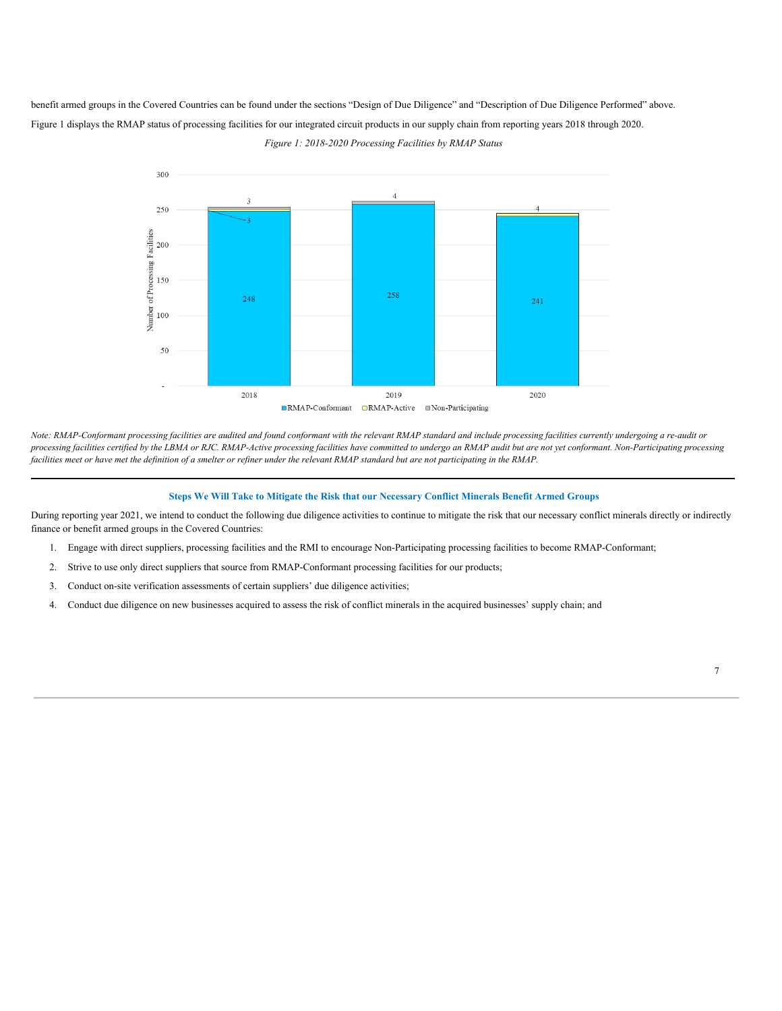<span id="page-9-0"></span>benefit armed groups in the Covered Countries can be found under the sections "Design of Due Diligence" and "Description of Due Diligence Performed" above. Figure 1 displays the RMAP status of processing facilities for our integrated circuit products in our supply chain from reporting years 2018 through 2020. *Figure 1: 2018-2020 Processing Facilities by RMAP Status*



Note: RMAP-Conformant processing facilities are audited and found conformant with the relevant RMAP standard and include processing facilities currently undergoing a re-audit or processing facilities certified by the LBMA or RJC. RMAP-Active processing facilities have committed to undergo an RMAP audit but are not yet conformant. Non-Participating processing facilities meet or have met the definition of a smelter or refiner under the relevant RMAP standard but are not participating in the RMAP.

## **Steps We Will Take to Mitigate the Risk that our Necessary Conflict Minerals Benefit Armed Groups**

During reporting year 2021, we intend to conduct the following due diligence activities to continue to mitigate the risk that our necessary conflict minerals directly or indirectly finance or benefit armed groups in the Covered Countries:

- 1. Engage with direct suppliers, processing facilities and the RMI to encourage Non-Participating processing facilities to become RMAP-Conformant;
- 2. Strive to use only direct suppliers that source from RMAP-Conformant processing facilities for our products;
- 3. Conduct on-site verification assessments of certain suppliers' due diligence activities;
- 4. Conduct due diligence on new businesses acquired to assess the risk of conflict minerals in the acquired businesses' supply chain; and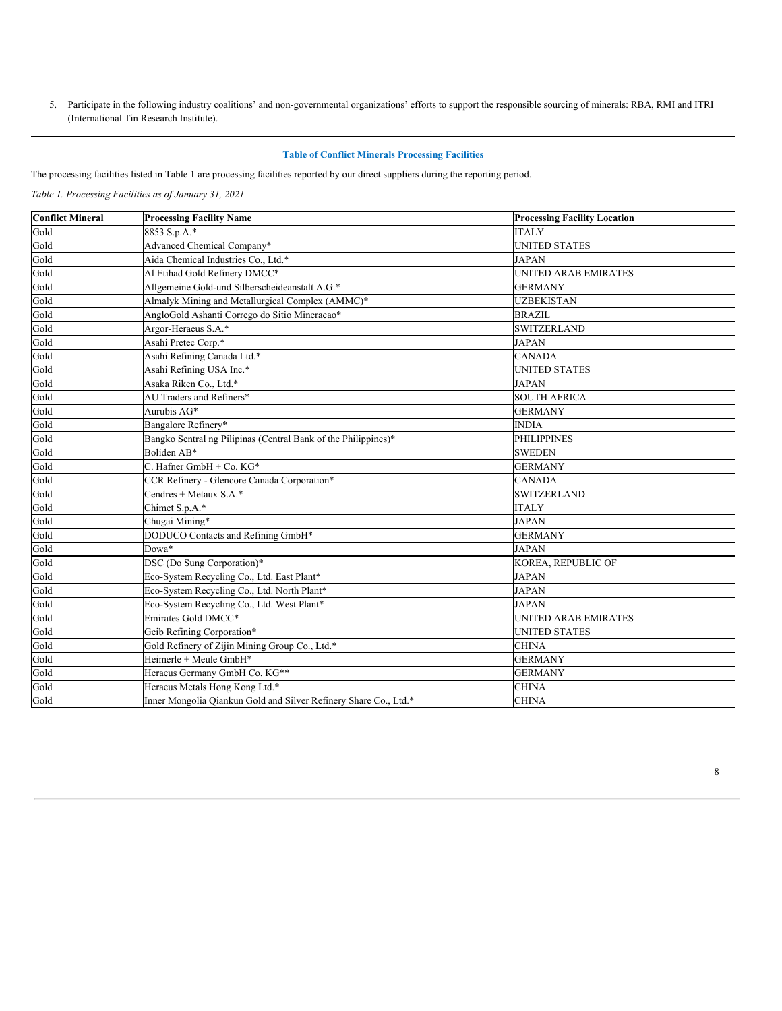5. Participate in the following industry coalitions' and non-governmental organizations' efforts to support the responsible sourcing of minerals: RBA, RMI and ITRI (International Tin Research Institute).

# **Table of Conflict Minerals Processing Facilities**

The processing facilities listed in Table 1 are processing facilities reported by our direct suppliers during the reporting period.

*Table 1. Processing Facilities as of January 31, 2021*

| <b>Conflict Mineral</b> | <b>Processing Facility Name</b>                                  | <b>Processing Facility Location</b> |
|-------------------------|------------------------------------------------------------------|-------------------------------------|
| Gold                    | 8853 S.p.A.*                                                     | <b>ITALY</b>                        |
| Gold                    | Advanced Chemical Company*                                       | <b>UNITED STATES</b>                |
| Gold                    | Aida Chemical Industries Co., Ltd.*                              | <b>JAPAN</b>                        |
| Gold                    | Al Etihad Gold Refinery DMCC*                                    | UNITED ARAB EMIRATES                |
| Gold                    | Allgemeine Gold-und Silberscheideanstalt A.G.*                   | <b>GERMANY</b>                      |
| Gold                    | Almalyk Mining and Metallurgical Complex (AMMC)*                 | <b>UZBEKISTAN</b>                   |
| Gold                    | AngloGold Ashanti Corrego do Sitio Mineracao*                    | <b>BRAZIL</b>                       |
| Gold                    | Argor-Heraeus S.A.*                                              | <b>SWITZERLAND</b>                  |
| Gold                    | Asahi Pretec Corp.*                                              | <b>JAPAN</b>                        |
| Gold                    | Asahi Refining Canada Ltd.*                                      | <b>CANADA</b>                       |
| Gold                    | Asahi Refining USA Inc.*                                         | <b>UNITED STATES</b>                |
| Gold                    | Asaka Riken Co., Ltd.*                                           | <b>JAPAN</b>                        |
| Gold                    | AU Traders and Refiners*                                         | <b>SOUTH AFRICA</b>                 |
| Gold                    | Aurubis AG*                                                      | <b>GERMANY</b>                      |
| Gold                    | Bangalore Refinery*                                              | <b>INDIA</b>                        |
| Gold                    | Bangko Sentral ng Pilipinas (Central Bank of the Philippines)*   | <b>PHILIPPINES</b>                  |
| Gold                    | Boliden AB*                                                      | <b>SWEDEN</b>                       |
| Gold                    | C. Hafner GmbH + Co. $KG^*$                                      | <b>GERMANY</b>                      |
| Gold                    | CCR Refinery - Glencore Canada Corporation*                      | <b>CANADA</b>                       |
| Gold                    | Cendres + Metaux S.A.*                                           | <b>SWITZERLAND</b>                  |
| Gold                    | Chimet S.p.A.*                                                   | <b>ITALY</b>                        |
| Gold                    | Chugai Mining*                                                   | <b>JAPAN</b>                        |
| Gold                    | DODUCO Contacts and Refining GmbH*                               | <b>GERMANY</b>                      |
| Gold                    | Dowa*                                                            | <b>JAPAN</b>                        |
| Gold                    | DSC (Do Sung Corporation)*                                       | KOREA, REPUBLIC OF                  |
| Gold                    | Eco-System Recycling Co., Ltd. East Plant*                       | <b>JAPAN</b>                        |
| Gold                    | Eco-System Recycling Co., Ltd. North Plant*                      | <b>JAPAN</b>                        |
| Gold                    | Eco-System Recycling Co., Ltd. West Plant*                       | <b>JAPAN</b>                        |
| Gold                    | Emirates Gold DMCC*                                              | UNITED ARAB EMIRATES                |
| Gold                    | Geib Refining Corporation*                                       | UNITED STATES                       |
| Gold                    | Gold Refinery of Zijin Mining Group Co., Ltd.*                   | <b>CHINA</b>                        |
| Gold                    | Heimerle + Meule GmbH*                                           | <b>GERMANY</b>                      |
| Gold                    | Heraeus Germany GmbH Co. KG**                                    | <b>GERMANY</b>                      |
| Gold                    | Heraeus Metals Hong Kong Ltd.*                                   | <b>CHINA</b>                        |
| Gold                    | Inner Mongolia Qiankun Gold and Silver Refinery Share Co., Ltd.* | <b>CHINA</b>                        |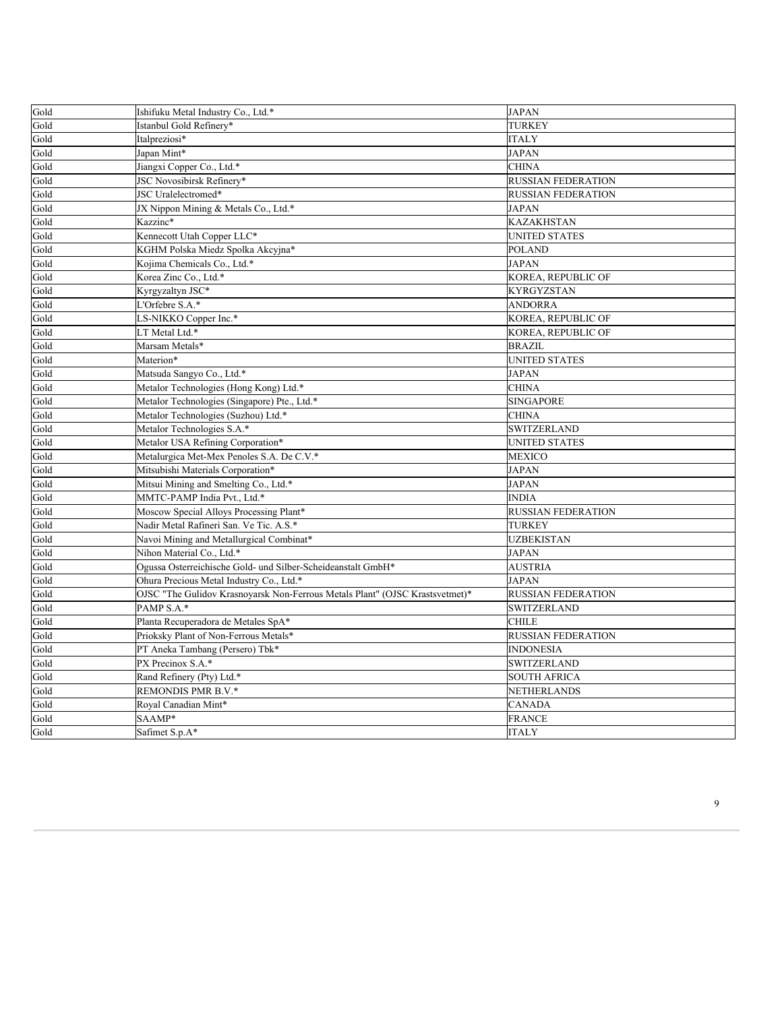| Gold | Ishifuku Metal Industry Co., Ltd.*                                           | <b>JAPAN</b>              |
|------|------------------------------------------------------------------------------|---------------------------|
| Gold | Istanbul Gold Refinery*                                                      | <b>TURKEY</b>             |
| Gold | Italpreziosi*                                                                | <b>ITALY</b>              |
| Gold | Japan Mint*                                                                  | JAPAN                     |
| Gold | Jiangxi Copper Co., Ltd.*                                                    | <b>CHINA</b>              |
| Gold | JSC Novosibirsk Refinery*                                                    | <b>RUSSIAN FEDERATION</b> |
| Gold | JSC Uralelectromed*                                                          | RUSSIAN FEDERATION        |
| Gold | JX Nippon Mining & Metals Co., Ltd.*                                         | JAPAN                     |
| Gold | Kazzinc*                                                                     | KAZAKHSTAN                |
| Gold | Kennecott Utah Copper LLC*                                                   | UNITED STATES             |
| Gold | KGHM Polska Miedz Spolka Akcyjna*                                            | <b>POLAND</b>             |
| Gold | Kojima Chemicals Co., Ltd.*                                                  | JAPAN                     |
| Gold | Korea Zinc Co., Ltd.*                                                        | KOREA, REPUBLIC OF        |
| Gold | Kyrgyzaltyn JSC*                                                             | KYRGYZSTAN                |
| Gold | L'Orfebre S.A.*                                                              | <b>ANDORRA</b>            |
| Gold | LS-NIKKO Copper Inc.*                                                        | KOREA, REPUBLIC OF        |
| Gold | LT Metal Ltd.*                                                               | KOREA, REPUBLIC OF        |
| Gold | Marsam Metals*                                                               | <b>BRAZIL</b>             |
| Gold | Materion*                                                                    | <b>UNITED STATES</b>      |
| Gold | Matsuda Sangyo Co., Ltd.*                                                    | JAPAN                     |
| Gold | Metalor Technologies (Hong Kong) Ltd.*                                       | <b>CHINA</b>              |
| Gold | Metalor Technologies (Singapore) Pte., Ltd.*                                 | <b>SINGAPORE</b>          |
| Gold | Metalor Technologies (Suzhou) Ltd.*                                          | <b>CHINA</b>              |
| Gold | Metalor Technologies S.A.*                                                   | SWITZERLAND               |
| Gold | Metalor USA Refining Corporation*                                            | UNITED STATES             |
| Gold | Metalurgica Met-Mex Penoles S.A. De C.V.*                                    | MEXICO                    |
| Gold | Mitsubishi Materials Corporation*                                            | JAPAN                     |
| Gold | Mitsui Mining and Smelting Co., Ltd.*                                        | <b>JAPAN</b>              |
| Gold | MMTC-PAMP India Pvt., Ltd.*                                                  | <b>INDIA</b>              |
| Gold | Moscow Special Alloys Processing Plant*                                      | RUSSIAN FEDERATION        |
| Gold | Nadir Metal Rafineri San. Ve Tic. A.S.*                                      | <b>TURKEY</b>             |
| Gold | Navoi Mining and Metallurgical Combinat*                                     | <b>UZBEKISTAN</b>         |
| Gold | Nihon Material Co., Ltd.*                                                    | <b>JAPAN</b>              |
| Gold | Ogussa Osterreichische Gold- und Silber-Scheideanstalt GmbH*                 | <b>AUSTRIA</b>            |
| Gold | Ohura Precious Metal Industry Co., Ltd.*                                     | JAPAN                     |
| Gold | OJSC "The Gulidov Krasnoyarsk Non-Ferrous Metals Plant" (OJSC Krastsvetmet)* | <b>RUSSIAN FEDERATION</b> |
| Gold | PAMP S.A.*                                                                   | <b>SWITZERLAND</b>        |
| Gold | Planta Recuperadora de Metales SpA*                                          | <b>CHILE</b>              |
| Gold | Prioksky Plant of Non-Ferrous Metals*                                        | <b>RUSSIAN FEDERATION</b> |
| Gold | PT Aneka Tambang (Persero) Tbk*                                              | <b>INDONESIA</b>          |
| Gold | PX Precinox S.A.*                                                            | SWITZERLAND               |
| Gold | Rand Refinery (Pty) Ltd.*                                                    | <b>SOUTH AFRICA</b>       |
| Gold | REMONDIS PMR B.V.*                                                           | NETHERLANDS               |
| Gold | Royal Canadian Mint*                                                         | <b>CANADA</b>             |
| Gold | SAAMP*                                                                       | <b>FRANCE</b>             |
| Gold | Safimet S.p.A*                                                               | <b>ITALY</b>              |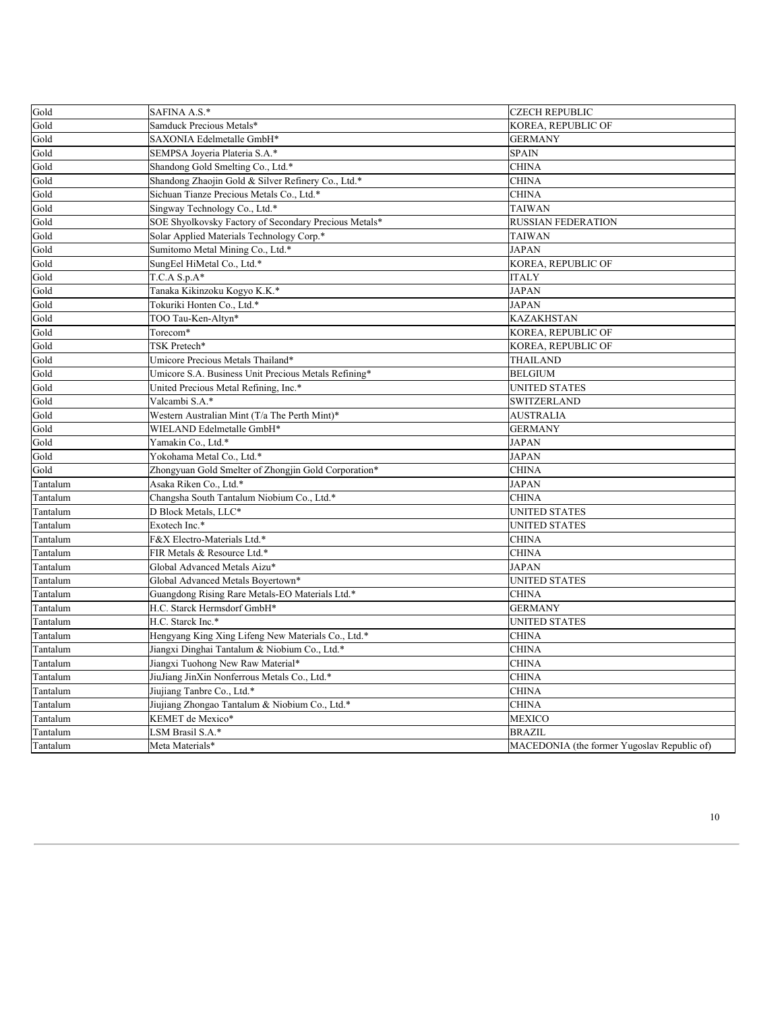| Gold     | SAFINA A.S.*                                          | <b>CZECH REPUBLIC</b>                       |
|----------|-------------------------------------------------------|---------------------------------------------|
| Gold     | Samduck Precious Metals*                              | KOREA, REPUBLIC OF                          |
| Gold     | SAXONIA Edelmetalle GmbH*                             | <b>GERMANY</b>                              |
| Gold     | SEMPSA Joyeria Plateria S.A.*                         | SPAIN                                       |
| Gold     | Shandong Gold Smelting Co., Ltd.*                     | <b>CHINA</b>                                |
| Gold     | Shandong Zhaojin Gold & Silver Refinery Co., Ltd.*    | <b>CHINA</b>                                |
| Gold     | Sichuan Tianze Precious Metals Co., Ltd.*             | <b>CHINA</b>                                |
| Gold     | Singway Technology Co., Ltd.*                         | TAIWAN                                      |
| Gold     | SOE Shyolkovsky Factory of Secondary Precious Metals* | RUSSIAN FEDERATION                          |
| Gold     | Solar Applied Materials Technology Corp.*             | TAIWAN                                      |
| Gold     | Sumitomo Metal Mining Co., Ltd.*                      | <b>JAPAN</b>                                |
| Gold     | SungEel HiMetal Co., Ltd.*                            | KOREA, REPUBLIC OF                          |
| Gold     | $T.C.A S.p.A*$                                        | <b>ITALY</b>                                |
| Gold     | Tanaka Kikinzoku Kogyo K.K.*                          | <b>JAPAN</b>                                |
| Gold     | Tokuriki Honten Co., Ltd.*                            | JAPAN                                       |
| Gold     | TOO Tau-Ken-Altyn*                                    | <b>KAZAKHSTAN</b>                           |
| Gold     | Torecom*                                              | KOREA, REPUBLIC OF                          |
| Gold     | TSK Pretech*                                          | KOREA, REPUBLIC OF                          |
| Gold     | Umicore Precious Metals Thailand*                     | <b>THAILAND</b>                             |
| Gold     | Umicore S.A. Business Unit Precious Metals Refining*  | <b>BELGIUM</b>                              |
| Gold     | United Precious Metal Refining, Inc.*                 | <b>UNITED STATES</b>                        |
| Gold     | Valcambi S.A.*                                        | SWITZERLAND                                 |
| Gold     | Western Australian Mint (T/a The Perth Mint)*         | AUSTRALIA                                   |
| Gold     | WIELAND Edelmetalle GmbH*                             | <b>GERMANY</b>                              |
| Gold     | Yamakin Co., Ltd.*                                    | JAPAN                                       |
| Gold     | Yokohama Metal Co., Ltd.*                             | <b>JAPAN</b>                                |
| Gold     | Zhongyuan Gold Smelter of Zhongjin Gold Corporation*  | <b>CHINA</b>                                |
| Tantalum | Asaka Riken Co., Ltd.*                                | <b>JAPAN</b>                                |
| Tantalum | Changsha South Tantalum Niobium Co., Ltd.*            | <b>CHINA</b>                                |
| Tantalum | D Block Metals, LLC*                                  | <b>UNITED STATES</b>                        |
| Tantalum | Exotech Inc.*                                         | <b>UNITED STATES</b>                        |
| Tantalum | F&X Electro-Materials Ltd.*                           | <b>CHINA</b>                                |
| Tantalum | FIR Metals & Resource Ltd.*                           | <b>CHINA</b>                                |
| Tantalum | Global Advanced Metals Aizu*                          | <b>JAPAN</b>                                |
| Tantalum | Global Advanced Metals Boyertown*                     | <b>UNITED STATES</b>                        |
| Tantalum | Guangdong Rising Rare Metals-EO Materials Ltd.*       | CHINA                                       |
| Tantalum | H.C. Starck Hermsdorf GmbH*                           | GERMANY                                     |
| Tantalum | H.C. Starck Inc.*                                     | <b>UNITED STATES</b>                        |
| Tantalum | Hengyang King Xing Lifeng New Materials Co., Ltd.*    | CHINA                                       |
| Tantalum | Jiangxi Dinghai Tantalum & Niobium Co., Ltd.*         | CHINA                                       |
| Tantalum | Jiangxi Tuohong New Raw Material*                     | CHINA                                       |
| Tantalum | JiuJiang JinXin Nonferrous Metals Co., Ltd.*          | CHINA                                       |
| Tantalum | Jiujiang Tanbre Co., Ltd.*                            | <b>CHINA</b>                                |
| Tantalum | Jiujiang Zhongao Tantalum & Niobium Co., Ltd.*        | CHINA                                       |
| Tantalum | KEMET de Mexico*                                      | <b>MEXICO</b>                               |
| Tantalum | LSM Brasil S.A.*                                      | <b>BRAZIL</b>                               |
| Tantalum | Meta Materials*                                       | MACEDONIA (the former Yugoslav Republic of) |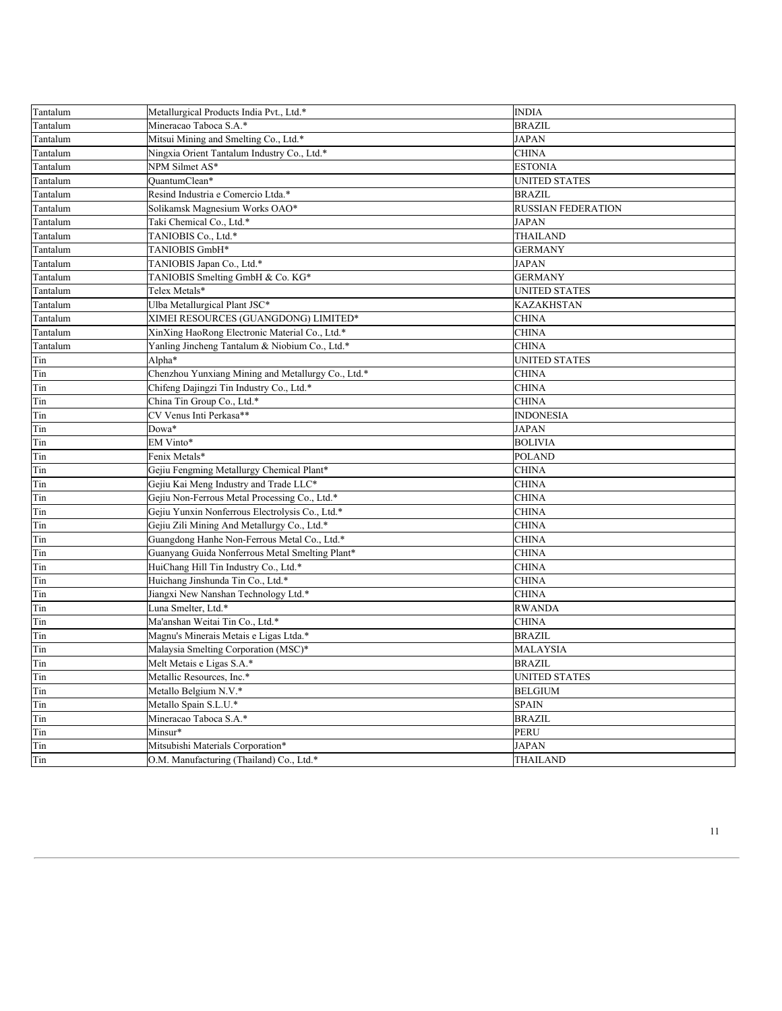| Tantalum | Metallurgical Products India Pvt., Ltd.*           | <b>INDIA</b>              |
|----------|----------------------------------------------------|---------------------------|
| Tantalum | Mineracao Taboca S.A.*                             | <b>BRAZIL</b>             |
| Tantalum | Mitsui Mining and Smelting Co., Ltd.*              | <b>JAPAN</b>              |
| Tantalum | Ningxia Orient Tantalum Industry Co., Ltd.*        | <b>CHINA</b>              |
| Tantalum | NPM Silmet AS*                                     | <b>ESTONIA</b>            |
| Tantalum | OuantumClean*                                      | <b>UNITED STATES</b>      |
| Tantalum | Resind Industria e Comercio Ltda.*                 | <b>BRAZIL</b>             |
| Tantalum | Solikamsk Magnesium Works OAO*                     | <b>RUSSIAN FEDERATION</b> |
| Tantalum | Taki Chemical Co., Ltd.*                           | <b>JAPAN</b>              |
| Tantalum | TANIOBIS Co., Ltd.*                                | THAILAND                  |
| Tantalum | TANIOBIS GmbH*                                     | <b>GERMANY</b>            |
| Tantalum | TANIOBIS Japan Co., Ltd.*                          | JAPAN                     |
| Tantalum | TANIOBIS Smelting GmbH & Co. KG*                   | <b>GERMANY</b>            |
| Tantalum | Telex Metals*                                      | <b>UNITED STATES</b>      |
| Tantalum | Ulba Metallurgical Plant JSC*                      | <b>KAZAKHSTAN</b>         |
| Tantalum | XIMEI RESOURCES (GUANGDONG) LIMITED*               | <b>CHINA</b>              |
| Tantalum | XinXing HaoRong Electronic Material Co., Ltd.*     | <b>CHINA</b>              |
| Tantalum | Yanling Jincheng Tantalum & Niobium Co., Ltd.*     | <b>CHINA</b>              |
| Tin      | Alpha <sup>*</sup>                                 | UNITED STATES             |
| Tin      | Chenzhou Yunxiang Mining and Metallurgy Co., Ltd.* | <b>CHINA</b>              |
| Tin      | Chifeng Dajingzi Tin Industry Co., Ltd.*           | <b>CHINA</b>              |
| Tin      | China Tin Group Co., Ltd.*                         | <b>CHINA</b>              |
| Tin      | CV Venus Inti Perkasa**                            | <b>INDONESIA</b>          |
| Tin      | Dowa*                                              | <b>JAPAN</b>              |
| Tin      | EM Vinto*                                          | <b>BOLIVIA</b>            |
| Tin      | Fenix Metals*                                      | <b>POLAND</b>             |
| Tin      | Gejiu Fengming Metallurgy Chemical Plant*          | <b>CHINA</b>              |
| Tin      | Gejiu Kai Meng Industry and Trade LLC*             | <b>CHINA</b>              |
| Tin      | Gejiu Non-Ferrous Metal Processing Co., Ltd.*      | <b>CHINA</b>              |
| Tin      | Gejiu Yunxin Nonferrous Electrolysis Co., Ltd.*    | <b>CHINA</b>              |
| Tin      | Gejiu Zili Mining And Metallurgy Co., Ltd.*        | <b>CHINA</b>              |
| Tin      | Guangdong Hanhe Non-Ferrous Metal Co., Ltd.*       | <b>CHINA</b>              |
| Tin      | Guanyang Guida Nonferrous Metal Smelting Plant*    | <b>CHINA</b>              |
| Tin      | HuiChang Hill Tin Industry Co., Ltd.*              | <b>CHINA</b>              |
| Tin      | Huichang Jinshunda Tin Co., Ltd.*                  | <b>CHINA</b>              |
| Tin      | Jiangxi New Nanshan Technology Ltd.*               | <b>CHINA</b>              |
| Tin      | Luna Smelter, Ltd.*                                | <b>RWANDA</b>             |
| Tin      | Ma'anshan Weitai Tin Co., Ltd.*                    | <b>CHINA</b>              |
| Tin      | Magnu's Minerais Metais e Ligas Ltda.*             | <b>BRAZIL</b>             |
| Tin      | Malaysia Smelting Corporation (MSC)*               | <b>MALAYSIA</b>           |
| Tin      | Melt Metais e Ligas S.A.*                          | <b>BRAZIL</b>             |
| Tin      | Metallic Resources, Inc.*                          | <b>UNITED STATES</b>      |
| Tin      | Metallo Belgium N.V.*                              | <b>BELGIUM</b>            |
| Tin      | Metallo Spain S.L.U.*                              | SPAIN                     |
| Tin      | Mineracao Taboca S.A.*                             | <b>BRAZIL</b>             |
| Tin      | Minsur <sup>*</sup>                                | <b>PERU</b>               |
| Tin      | Mitsubishi Materials Corporation*                  | <b>JAPAN</b>              |
| Tin      | O.M. Manufacturing (Thailand) Co., Ltd.*           | <b>THAILAND</b>           |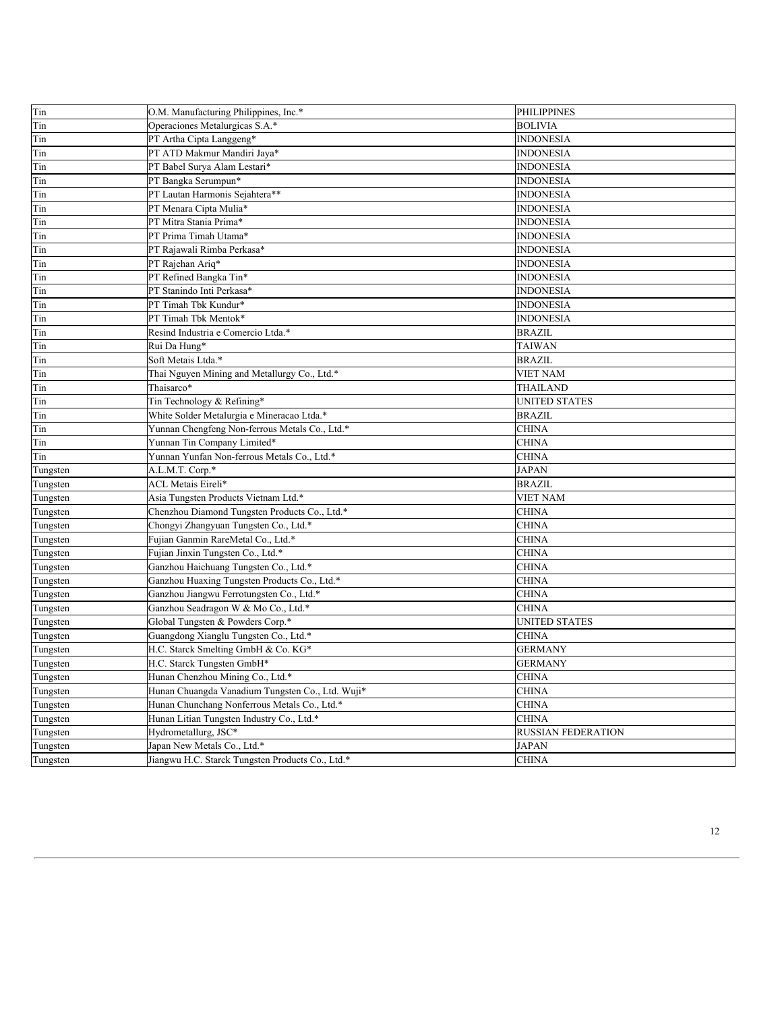| Tin      | O.M. Manufacturing Philippines, Inc.*            | <b>PHILIPPINES</b>        |
|----------|--------------------------------------------------|---------------------------|
| Tin      | Operaciones Metalurgicas S.A.*                   | <b>BOLIVIA</b>            |
| Tin      | PT Artha Cipta Langgeng*                         | <b>INDONESIA</b>          |
| Tin      | PT ATD Makmur Mandiri Jaya*                      | <b>INDONESIA</b>          |
| Tin      | PT Babel Surya Alam Lestari*                     | <b>INDONESIA</b>          |
| Tin      | PT Bangka Serumpun*                              | <b>INDONESIA</b>          |
| Tin      | PT Lautan Harmonis Sejahtera**                   | <b>INDONESIA</b>          |
| Tin      | PT Menara Cipta Mulia*                           | <b>INDONESIA</b>          |
| Tin      | PT Mitra Stania Prima*                           | <b>INDONESIA</b>          |
| Tin      | PT Prima Timah Utama*                            | <b>INDONESIA</b>          |
| Tin      | PT Rajawali Rimba Perkasa*                       | <b>INDONESIA</b>          |
| Tin      | PT Rajehan Ariq*                                 | <b>INDONESIA</b>          |
| Tin      | PT Refined Bangka Tin*                           | <b>INDONESIA</b>          |
| Tin      | PT Stanindo Inti Perkasa*                        | <b>INDONESIA</b>          |
| Tin      | PT Timah Tbk Kundur*                             | <b>INDONESIA</b>          |
| Tin      | PT Timah Tbk Mentok*                             | <b>INDONESIA</b>          |
| Tin      | Resind Industria e Comercio Ltda.*               | <b>BRAZIL</b>             |
| Tin      | Rui Da Hung*                                     | TAIWAN                    |
| Tin      | Soft Metais Ltda.*                               | <b>BRAZIL</b>             |
| Tin      | Thai Nguyen Mining and Metallurgy Co., Ltd.*     | <b>VIET NAM</b>           |
| Tin      | Thaisarco*                                       | THAILAND                  |
| Tin      | Tin Technology & Refining*                       | UNITED STATES             |
| Tin      | White Solder Metalurgia e Mineracao Ltda.*       | <b>BRAZIL</b>             |
| Tin      | Yunnan Chengfeng Non-ferrous Metals Co., Ltd.*   | CHINA                     |
| Tin      | Yunnan Tin Company Limited*                      | CHINA                     |
| Tin      | Yunnan Yunfan Non-ferrous Metals Co., Ltd.*      | <b>CHINA</b>              |
| Tungsten | A.L.M.T. Corp.*                                  | JAPAN                     |
| Tungsten | <b>ACL Metais Eireli*</b>                        | <b>BRAZIL</b>             |
| Tungsten | Asia Tungsten Products Vietnam Ltd.*             | VIET NAM                  |
| Tungsten | Chenzhou Diamond Tungsten Products Co., Ltd.*    | CHINA                     |
| Tungsten | Chongyi Zhangyuan Tungsten Co., Ltd.*            | CHINA                     |
| Tungsten | Fujian Ganmin RareMetal Co., Ltd.*               | CHINA                     |
| Tungsten | Fujian Jinxin Tungsten Co., Ltd.*                | CHINA                     |
| Tungsten | Ganzhou Haichuang Tungsten Co., Ltd.*            | CHINA                     |
| Tungsten | Ganzhou Huaxing Tungsten Products Co., Ltd.*     | <b>CHINA</b>              |
| Tungsten | Ganzhou Jiangwu Ferrotungsten Co., Ltd.*         | <b>CHINA</b>              |
| Tungsten | Ganzhou Seadragon W & Mo Co., Ltd.*              | CHINA                     |
| Tungsten | Global Tungsten & Powders Corp.*                 | UNITED STATES             |
| Tungsten | Guangdong Xianglu Tungsten Co., Ltd.*            | CHINA                     |
| Tungsten | H.C. Starck Smelting GmbH & Co. KG*              | GERMANY                   |
| Tungsten | H.C. Starck Tungsten GmbH*                       | <b>GERMANY</b>            |
| Tungsten | Hunan Chenzhou Mining Co., Ltd.*                 | CHINA                     |
| Tungsten | Hunan Chuangda Vanadium Tungsten Co., Ltd. Wuji* | CHINA                     |
| Tungsten | Hunan Chunchang Nonferrous Metals Co., Ltd.*     | <b>CHINA</b>              |
| Tungsten | Hunan Litian Tungsten Industry Co., Ltd.*        | <b>CHINA</b>              |
| Tungsten | Hydrometallurg, JSC*                             | <b>RUSSIAN FEDERATION</b> |
| Tungsten | Japan New Metals Co., Ltd.*                      | JAPAN                     |
| Tungsten | Jiangwu H.C. Starck Tungsten Products Co., Ltd.* | <b>CHINA</b>              |